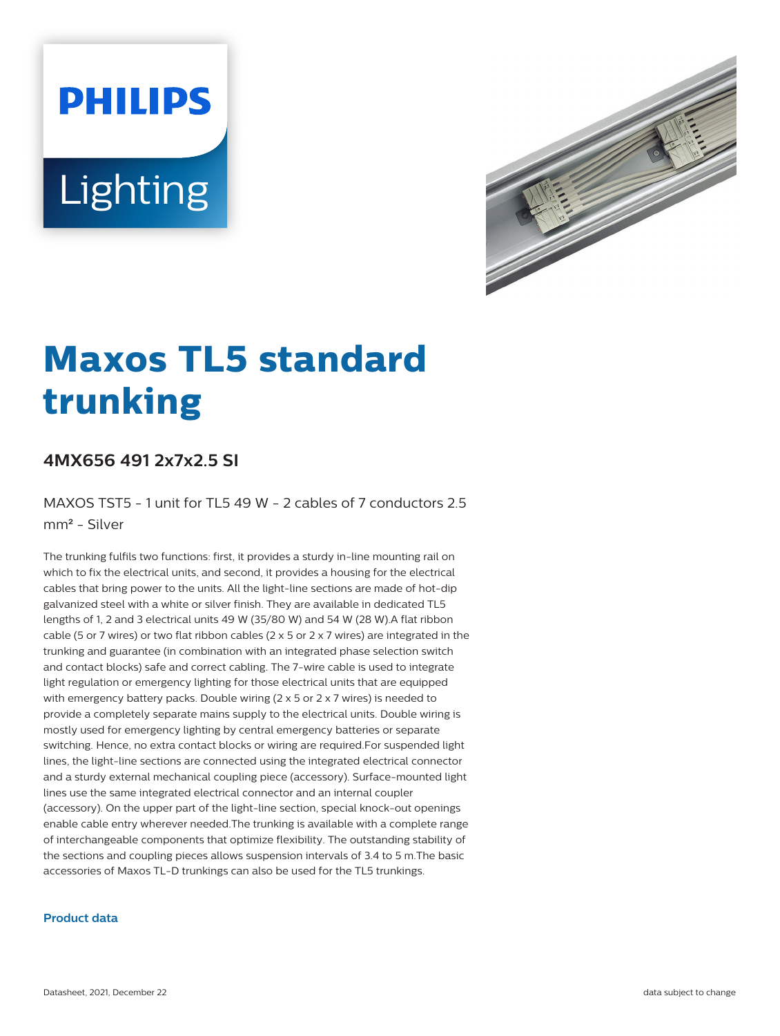# **PHILIPS** Lighting



# **Maxos TL5 standard trunking**

## **4MX656 491 2x7x2.5 SI**

MAXOS TST5 - 1 unit for TL5 49 W - 2 cables of 7 conductors 2.5 mm² - Silver

The trunking fulfils two functions: first, it provides a sturdy in-line mounting rail on which to fix the electrical units, and second, it provides a housing for the electrical cables that bring power to the units. All the light-line sections are made of hot-dip galvanized steel with a white or silver finish. They are available in dedicated TL5 lengths of 1, 2 and 3 electrical units 49 W (35/80 W) and 54 W (28 W).A flat ribbon cable (5 or 7 wires) or two flat ribbon cables (2  $\times$  5 or 2  $\times$  7 wires) are integrated in the trunking and guarantee (in combination with an integrated phase selection switch and contact blocks) safe and correct cabling. The 7-wire cable is used to integrate light regulation or emergency lighting for those electrical units that are equipped with emergency battery packs. Double wiring (2 x 5 or 2 x 7 wires) is needed to provide a completely separate mains supply to the electrical units. Double wiring is mostly used for emergency lighting by central emergency batteries or separate switching. Hence, no extra contact blocks or wiring are required.For suspended light lines, the light-line sections are connected using the integrated electrical connector and a sturdy external mechanical coupling piece (accessory). Surface-mounted light lines use the same integrated electrical connector and an internal coupler (accessory). On the upper part of the light-line section, special knock-out openings enable cable entry wherever needed.The trunking is available with a complete range of interchangeable components that optimize flexibility. The outstanding stability of the sections and coupling pieces allows suspension intervals of 3.4 to 5 m.The basic accessories of Maxos TL-D trunkings can also be used for the TL5 trunkings.

#### **Product data**